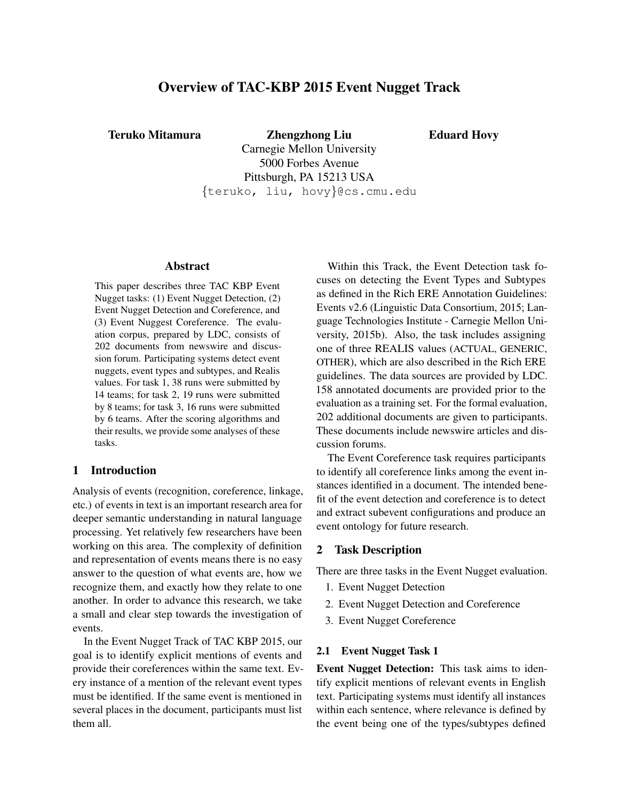# Overview of TAC-KBP 2015 Event Nugget Track

Teruko Mitamura Zhengzhong Liu

Eduard Hovy

Carnegie Mellon University 5000 Forbes Avenue Pittsburgh, PA 15213 USA {teruko, liu, hovy}@cs.cmu.edu

### Abstract

This paper describes three TAC KBP Event Nugget tasks: (1) Event Nugget Detection, (2) Event Nugget Detection and Coreference, and (3) Event Nuggest Coreference. The evaluation corpus, prepared by LDC, consists of 202 documents from newswire and discussion forum. Participating systems detect event nuggets, event types and subtypes, and Realis values. For task 1, 38 runs were submitted by 14 teams; for task 2, 19 runs were submitted by 8 teams; for task 3, 16 runs were submitted by 6 teams. After the scoring algorithms and their results, we provide some analyses of these tasks.

## 1 Introduction

Analysis of events (recognition, coreference, linkage, etc.) of events in text is an important research area for deeper semantic understanding in natural language processing. Yet relatively few researchers have been working on this area. The complexity of definition and representation of events means there is no easy answer to the question of what events are, how we recognize them, and exactly how they relate to one another. In order to advance this research, we take a small and clear step towards the investigation of events.

In the Event Nugget Track of TAC KBP 2015, our goal is to identify explicit mentions of events and provide their coreferences within the same text. Every instance of a mention of the relevant event types must be identified. If the same event is mentioned in several places in the document, participants must list them all.

Within this Track, the Event Detection task focuses on detecting the Event Types and Subtypes as defined in the Rich ERE Annotation Guidelines: Events v2.6 (Linguistic Data Consortium, 2015; Language Technologies Institute - Carnegie Mellon University, 2015b). Also, the task includes assigning one of three REALIS values (ACTUAL, GENERIC, OTHER), which are also described in the Rich ERE guidelines. The data sources are provided by LDC. 158 annotated documents are provided prior to the evaluation as a training set. For the formal evaluation, 202 additional documents are given to participants. These documents include newswire articles and discussion forums.

The Event Coreference task requires participants to identify all coreference links among the event instances identified in a document. The intended benefit of the event detection and coreference is to detect and extract subevent configurations and produce an event ontology for future research.

## 2 Task Description

There are three tasks in the Event Nugget evaluation.

- 1. Event Nugget Detection
- 2. Event Nugget Detection and Coreference
- 3. Event Nugget Coreference

#### 2.1 Event Nugget Task 1

Event Nugget Detection: This task aims to identify explicit mentions of relevant events in English text. Participating systems must identify all instances within each sentence, where relevance is defined by the event being one of the types/subtypes defined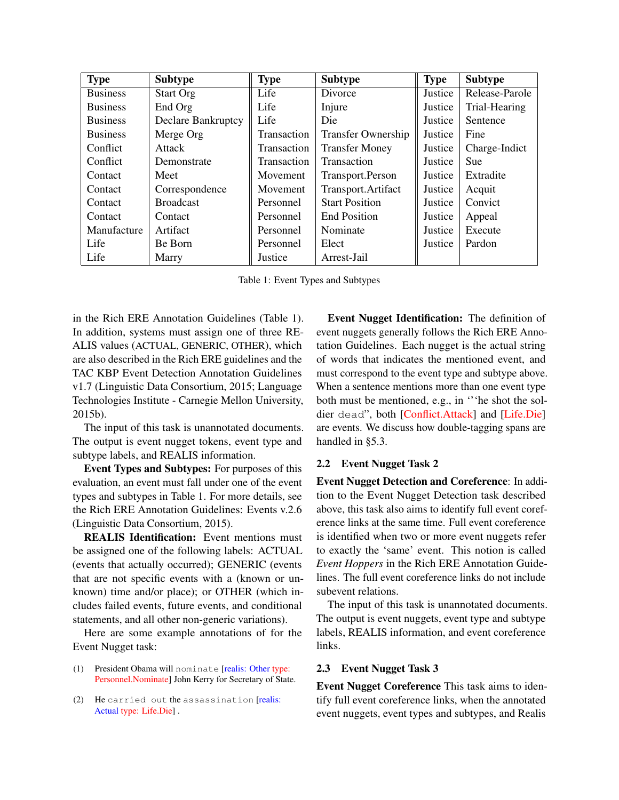| <b>Type</b>     | <b>Subtype</b>            | <b>Type</b>        | <b>Subtype</b>            | <b>Type</b> | <b>Subtype</b> |
|-----------------|---------------------------|--------------------|---------------------------|-------------|----------------|
| <b>Business</b> | <b>Start Org</b>          | Life               | Divorce                   | Justice     | Release-Parole |
| <b>Business</b> | End Org                   | Life               | Injure                    | Justice     | Trial-Hearing  |
| <b>Business</b> | <b>Declare Bankruptcy</b> | Life               | Die                       | Justice     | Sentence       |
| <b>Business</b> | Merge Org                 | <b>Transaction</b> | <b>Transfer Ownership</b> | Justice     | Fine           |
| Conflict        | Attack                    | <b>Transaction</b> | <b>Transfer Money</b>     | Justice     | Charge-Indict  |
| Conflict        | Demonstrate               | Transaction        | Transaction               | Justice     | <b>Sue</b>     |
| Contact         | Meet                      | Movement           | Transport.Person          | Justice     | Extradite      |
| Contact         | Correspondence            | Movement           | Transport.Artifact        | Justice     | Acquit         |
| Contact         | <b>Broadcast</b>          | Personnel          | <b>Start Position</b>     | Justice     | Convict        |
| Contact         | Contact                   | Personnel          | <b>End Position</b>       | Justice     | Appeal         |
| Manufacture     | Artifact                  | Personnel          | Nominate                  | Justice     | Execute        |
| Life            | Be Born                   | Personnel          | Elect                     | Justice     | Pardon         |
| Life            | Marry                     | Justice            | Arrest-Jail               |             |                |

Table 1: Event Types and Subtypes

in the Rich ERE Annotation Guidelines (Table 1). In addition, systems must assign one of three RE-ALIS values (ACTUAL, GENERIC, OTHER), which are also described in the Rich ERE guidelines and the TAC KBP Event Detection Annotation Guidelines v1.7 (Linguistic Data Consortium, 2015; Language Technologies Institute - Carnegie Mellon University, 2015b).

The input of this task is unannotated documents. The output is event nugget tokens, event type and subtype labels, and REALIS information.

Event Types and Subtypes: For purposes of this evaluation, an event must fall under one of the event types and subtypes in Table 1. For more details, see the Rich ERE Annotation Guidelines: Events v.2.6 (Linguistic Data Consortium, 2015).

REALIS Identification: Event mentions must be assigned one of the following labels: ACTUAL (events that actually occurred); GENERIC (events that are not specific events with a (known or unknown) time and/or place); or OTHER (which includes failed events, future events, and conditional statements, and all other non-generic variations).

Here are some example annotations of for the Event Nugget task:

- (1) President Obama will nominate [realis: Other type: Personnel.Nominate] John Kerry for Secretary of State.
- (2) He carried out the assassination [realis: Actual type: Life.Die] .

Event Nugget Identification: The definition of event nuggets generally follows the Rich ERE Annotation Guidelines. Each nugget is the actual string of words that indicates the mentioned event, and must correspond to the event type and subtype above. When a sentence mentions more than one event type both must be mentioned, e.g., in '''he shot the soldier dead", both [Conflict.Attack] and [Life.Die] are events. We discuss how double-tagging spans are handled in §5.3.

### 2.2 Event Nugget Task 2

Event Nugget Detection and Coreference: In addition to the Event Nugget Detection task described above, this task also aims to identify full event coreference links at the same time. Full event coreference is identified when two or more event nuggets refer to exactly the 'same' event. This notion is called *Event Hoppers* in the Rich ERE Annotation Guidelines. The full event coreference links do not include subevent relations.

The input of this task is unannotated documents. The output is event nuggets, event type and subtype labels, REALIS information, and event coreference links.

### 2.3 Event Nugget Task 3

Event Nugget Coreference This task aims to identify full event coreference links, when the annotated event nuggets, event types and subtypes, and Realis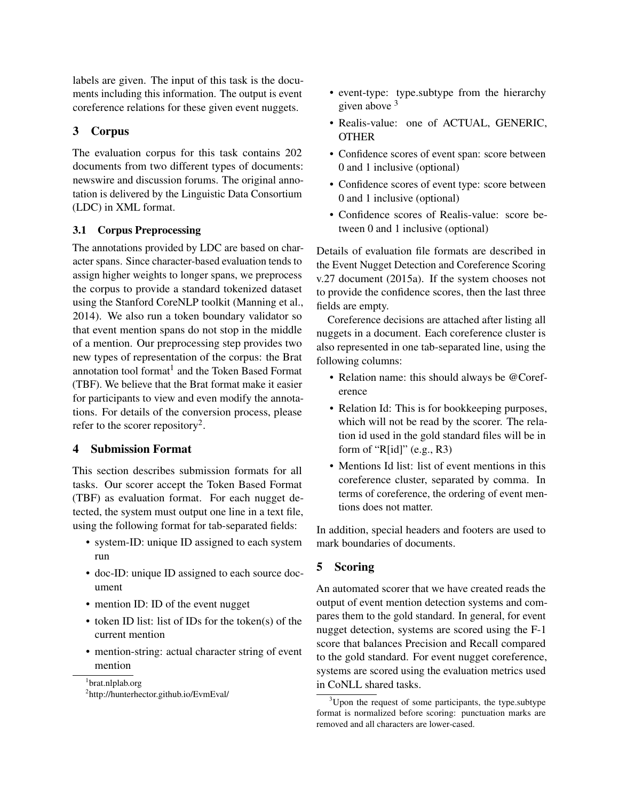labels are given. The input of this task is the documents including this information. The output is event coreference relations for these given event nuggets.

## 3 Corpus

The evaluation corpus for this task contains 202 documents from two different types of documents: newswire and discussion forums. The original annotation is delivered by the Linguistic Data Consortium (LDC) in XML format.

## 3.1 Corpus Preprocessing

The annotations provided by LDC are based on character spans. Since character-based evaluation tends to assign higher weights to longer spans, we preprocess the corpus to provide a standard tokenized dataset using the Stanford CoreNLP toolkit (Manning et al., 2014). We also run a token boundary validator so that event mention spans do not stop in the middle of a mention. Our preprocessing step provides two new types of representation of the corpus: the Brat annotation tool format $<sup>1</sup>$  and the Token Based Format</sup> (TBF). We believe that the Brat format make it easier for participants to view and even modify the annotations. For details of the conversion process, please refer to the scorer repository<sup>2</sup>.

## 4 Submission Format

This section describes submission formats for all tasks. Our scorer accept the Token Based Format (TBF) as evaluation format. For each nugget detected, the system must output one line in a text file, using the following format for tab-separated fields:

- system-ID: unique ID assigned to each system run
- doc-ID: unique ID assigned to each source document
- mention ID: ID of the event nugget
- token ID list: list of IDs for the token(s) of the current mention
- mention-string: actual character string of event mention

1 brat.nlplab.org

- event-type: type.subtype from the hierarchy given above <sup>3</sup>
- Realis-value: one of ACTUAL, GENERIC, **OTHER**
- Confidence scores of event span: score between 0 and 1 inclusive (optional)
- Confidence scores of event type: score between 0 and 1 inclusive (optional)
- Confidence scores of Realis-value: score between 0 and 1 inclusive (optional)

Details of evaluation file formats are described in the Event Nugget Detection and Coreference Scoring v.27 document (2015a). If the system chooses not to provide the confidence scores, then the last three fields are empty.

Coreference decisions are attached after listing all nuggets in a document. Each coreference cluster is also represented in one tab-separated line, using the following columns:

- Relation name: this should always be @Coreference
- Relation Id: This is for bookkeeping purposes, which will not be read by the scorer. The relation id used in the gold standard files will be in form of " $R[id]$ " (e.g., R3)
- Mentions Id list: list of event mentions in this coreference cluster, separated by comma. In terms of coreference, the ordering of event mentions does not matter.

In addition, special headers and footers are used to mark boundaries of documents.

## 5 Scoring

An automated scorer that we have created reads the output of event mention detection systems and compares them to the gold standard. In general, for event nugget detection, systems are scored using the F-1 score that balances Precision and Recall compared to the gold standard. For event nugget coreference, systems are scored using the evaluation metrics used in CoNLL shared tasks.

<sup>2</sup> http://hunterhector.github.io/EvmEval/

 $3^3$ Upon the request of some participants, the type.subtype format is normalized before scoring: punctuation marks are removed and all characters are lower-cased.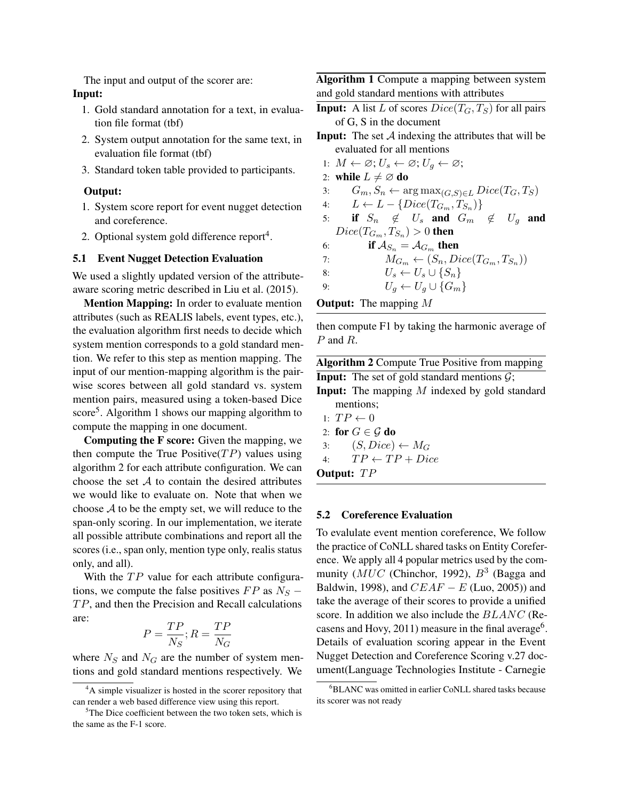The input and output of the scorer are: Input:

- 1. Gold standard annotation for a text, in evaluation file format (tbf)
- 2. System output annotation for the same text, in evaluation file format (tbf)
- 3. Standard token table provided to participants.

#### Output:

- 1. System score report for event nugget detection and coreference.
- 2. Optional system gold difference report<sup>4</sup>.

#### 5.1 Event Nugget Detection Evaluation

We used a slightly updated version of the attributeaware scoring metric described in Liu et al. (2015).

Mention Mapping: In order to evaluate mention attributes (such as REALIS labels, event types, etc.), the evaluation algorithm first needs to decide which system mention corresponds to a gold standard mention. We refer to this step as mention mapping. The input of our mention-mapping algorithm is the pairwise scores between all gold standard vs. system mention pairs, measured using a token-based Dice score<sup>5</sup>. Algorithm 1 shows our mapping algorithm to compute the mapping in one document.

Computing the F score: Given the mapping, we then compute the True Positive( $TP$ ) values using algorithm 2 for each attribute configuration. We can choose the set  $A$  to contain the desired attributes we would like to evaluate on. Note that when we choose  $A$  to be the empty set, we will reduce to the span-only scoring. In our implementation, we iterate all possible attribute combinations and report all the scores (i.e., span only, mention type only, realis status only, and all).

With the  $TP$  value for each attribute configurations, we compute the false positives  $FP$  as  $N<sub>S</sub>$  −  $TP$ , and then the Precision and Recall calculations are:

$$
P = \frac{TP}{N_S}; R = \frac{TP}{N_G}
$$

where  $N<sub>S</sub>$  and  $N<sub>G</sub>$  are the number of system mentions and gold standard mentions respectively. We Algorithm 1 Compute a mapping between system and gold standard mentions with attributes

- **Input:** A list L of scores  $Dice(T_G, T_S)$  for all pairs of G, S in the document
- **Input:** The set  $\mathcal A$  indexing the attributes that will be evaluated for all mentions
	- 1:  $M \leftarrow \varnothing; U_s \leftarrow \varnothing; U_q \leftarrow \varnothing;$
- 2: while  $L \neq \emptyset$  do
- 3:  $G_m, S_n \leftarrow \arg \max_{(G,S) \in L} Dice(T_G, T_S)$
- 4:  $L \leftarrow L \{Dice(T_{G_m}, T_{S_n})\}$
- 5: if  $S_n \notin U_s$  and  $G_m^{(n)} \notin U_q$  and  $Dice(T_{G_m}, T_{S_n}) > 0$  then
- 6: if  $A_{S_n} = A_{G_m}$  then
- 7:  $M_{G_m} \leftarrow (S_n, Dice(T_{G_m}, T_{S_n}))$
- 8:  $U_s \leftarrow U_s \cup \{S_n\}$
- 9:  $U_q \leftarrow U_q \cup \{G_m\}$
- **Output:** The mapping  $M$

then compute F1 by taking the harmonic average of P and R.

Algorithm 2 Compute True Positive from mapping **Input:** The set of gold standard mentions  $\mathcal{G}$ ;

Input: The mapping M indexed by gold standard mentions;

- 1:  $TP \leftarrow 0$
- 2: for  $G \in \mathcal{G}$  do
- 3:  $(S, Dice) \leftarrow M_G$
- 4:  $TP \leftarrow TP + Dice$

Output: TP

#### 5.2 Coreference Evaluation

To evalulate event mention coreference, We follow the practice of CoNLL shared tasks on Entity Coreference. We apply all 4 popular metrics used by the community ( $MUC$  (Chinchor, 1992),  $B<sup>3</sup>$  (Bagga and Baldwin, 1998), and  $CEAF - E$  (Luo, 2005)) and take the average of their scores to provide a unified score. In addition we also include the BLANC (Recasens and Hovy, 2011) measure in the final average<sup>6</sup>. Details of evaluation scoring appear in the Event Nugget Detection and Coreference Scoring v.27 document(Language Technologies Institute - Carnegie

<sup>&</sup>lt;sup>4</sup>A simple visualizer is hosted in the scorer repository that can render a web based difference view using this report.

 $5$ The Dice coefficient between the two token sets, which is the same as the F-1 score.

<sup>6</sup>BLANC was omitted in earlier CoNLL shared tasks because its scorer was not ready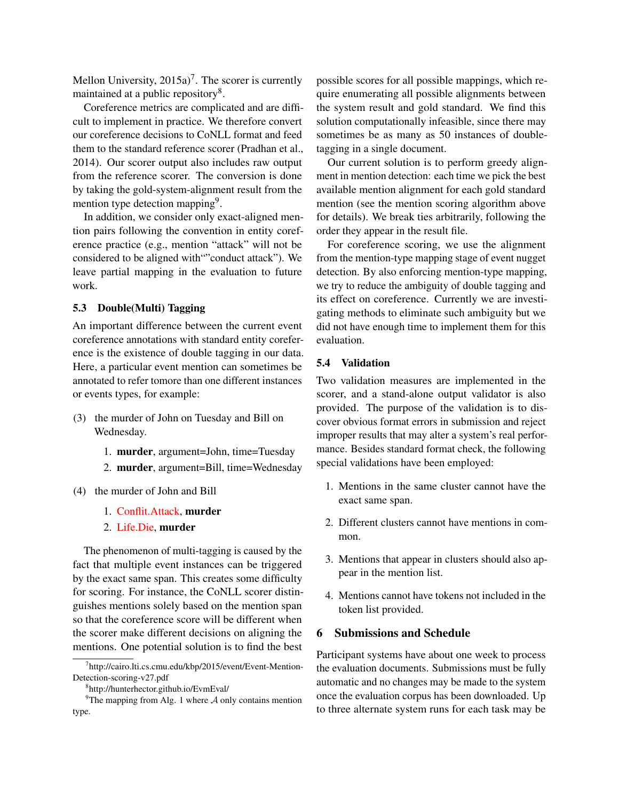Mellon University,  $2015a$ <sup>7</sup>. The scorer is currently maintained at a public repository<sup>8</sup>.

Coreference metrics are complicated and are difficult to implement in practice. We therefore convert our coreference decisions to CoNLL format and feed them to the standard reference scorer (Pradhan et al., 2014). Our scorer output also includes raw output from the reference scorer. The conversion is done by taking the gold-system-alignment result from the mention type detection mapping<sup>9</sup>.

In addition, we consider only exact-aligned mention pairs following the convention in entity coreference practice (e.g., mention "attack" will not be considered to be aligned with""conduct attack"). We leave partial mapping in the evaluation to future work.

## 5.3 Double(Multi) Tagging

An important difference between the current event coreference annotations with standard entity coreference is the existence of double tagging in our data. Here, a particular event mention can sometimes be annotated to refer tomore than one different instances or events types, for example:

- (3) the murder of John on Tuesday and Bill on Wednesday.
	- 1. murder, argument=John, time=Tuesday
	- 2. murder, argument=Bill, time=Wednesday
- (4) the murder of John and Bill
	- 1. Conflit.Attack, murder
	- 2. Life.Die, murder

The phenomenon of multi-tagging is caused by the fact that multiple event instances can be triggered by the exact same span. This creates some difficulty for scoring. For instance, the CoNLL scorer distinguishes mentions solely based on the mention span so that the coreference score will be different when the scorer make different decisions on aligning the mentions. One potential solution is to find the best

possible scores for all possible mappings, which require enumerating all possible alignments between the system result and gold standard. We find this solution computationally infeasible, since there may sometimes be as many as 50 instances of doubletagging in a single document.

Our current solution is to perform greedy alignment in mention detection: each time we pick the best available mention alignment for each gold standard mention (see the mention scoring algorithm above for details). We break ties arbitrarily, following the order they appear in the result file.

For coreference scoring, we use the alignment from the mention-type mapping stage of event nugget detection. By also enforcing mention-type mapping, we try to reduce the ambiguity of double tagging and its effect on coreference. Currently we are investigating methods to eliminate such ambiguity but we did not have enough time to implement them for this evaluation.

#### 5.4 Validation

Two validation measures are implemented in the scorer, and a stand-alone output validator is also provided. The purpose of the validation is to discover obvious format errors in submission and reject improper results that may alter a system's real performance. Besides standard format check, the following special validations have been employed:

- 1. Mentions in the same cluster cannot have the exact same span.
- 2. Different clusters cannot have mentions in common.
- 3. Mentions that appear in clusters should also appear in the mention list.
- 4. Mentions cannot have tokens not included in the token list provided.

## 6 Submissions and Schedule

Participant systems have about one week to process the evaluation documents. Submissions must be fully automatic and no changes may be made to the system once the evaluation corpus has been downloaded. Up to three alternate system runs for each task may be

<sup>7</sup> http://cairo.lti.cs.cmu.edu/kbp/2015/event/Event-Mention-Detection-scoring-v27.pdf

<sup>8</sup> http://hunterhector.github.io/EvmEval/

<sup>&</sup>lt;sup>9</sup>The mapping from Alg. 1 where  $A$  only contains mention type.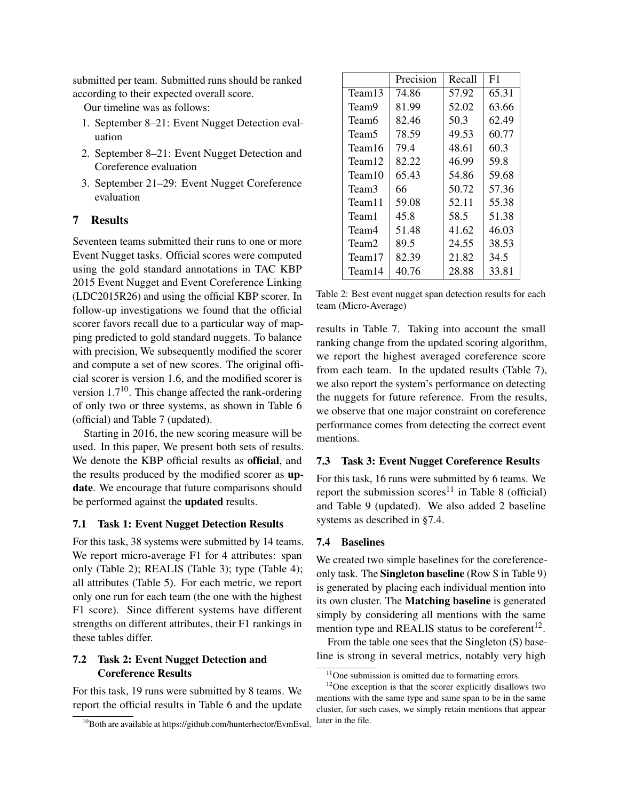submitted per team. Submitted runs should be ranked according to their expected overall score.

Our timeline was as follows:

- 1. September 8–21: Event Nugget Detection evaluation
- 2. September 8–21: Event Nugget Detection and Coreference evaluation
- 3. September 21–29: Event Nugget Coreference evaluation

## 7 Results

Seventeen teams submitted their runs to one or more Event Nugget tasks. Official scores were computed using the gold standard annotations in TAC KBP 2015 Event Nugget and Event Coreference Linking (LDC2015R26) and using the official KBP scorer. In follow-up investigations we found that the official scorer favors recall due to a particular way of mapping predicted to gold standard nuggets. To balance with precision, We subsequently modified the scorer and compute a set of new scores. The original official scorer is version 1.6, and the modified scorer is version  $1.7^{10}$ . This change affected the rank-ordering of only two or three systems, as shown in Table 6 (official) and Table 7 (updated).

Starting in 2016, the new scoring measure will be used. In this paper, We present both sets of results. We denote the KBP official results as official, and the results produced by the modified scorer as update. We encourage that future comparisons should be performed against the updated results.

#### 7.1 Task 1: Event Nugget Detection Results

For this task, 38 systems were submitted by 14 teams. We report micro-average F1 for 4 attributes: span only (Table 2); REALIS (Table 3); type (Table 4); all attributes (Table 5). For each metric, we report only one run for each team (the one with the highest F1 score). Since different systems have different strengths on different attributes, their F1 rankings in these tables differ.

## 7.2 Task 2: Event Nugget Detection and Coreference Results

For this task, 19 runs were submitted by 8 teams. We report the official results in Table 6 and the update

|        | Precision | Recall | F1    |
|--------|-----------|--------|-------|
| Team13 | 74.86     | 57.92  | 65.31 |
| Team9  | 81.99     | 52.02  | 63.66 |
| Team6  | 82.46     | 50.3   | 62.49 |
| Team5  | 78.59     | 49.53  | 60.77 |
| Team16 | 79.4      | 48.61  | 60.3  |
| Team12 | 82.22     | 46.99  | 59.8  |
| Team10 | 65.43     | 54.86  | 59.68 |
| Team3  | 66        | 50.72  | 57.36 |
| Team11 | 59.08     | 52.11  | 55.38 |
| Team1  | 45.8      | 58.5   | 51.38 |
| Team4  | 51.48     | 41.62  | 46.03 |
| Team2  | 89.5      | 24.55  | 38.53 |
| Team17 | 82.39     | 21.82  | 34.5  |
| Team14 | 40.76     | 28.88  | 33.81 |

Table 2: Best event nugget span detection results for each team (Micro-Average)

results in Table 7. Taking into account the small ranking change from the updated scoring algorithm, we report the highest averaged coreference score from each team. In the updated results (Table 7), we also report the system's performance on detecting the nuggets for future reference. From the results, we observe that one major constraint on coreference performance comes from detecting the correct event mentions.

#### 7.3 Task 3: Event Nugget Coreference Results

For this task, 16 runs were submitted by 6 teams. We report the submission scores<sup>11</sup> in Table 8 (official) and Table 9 (updated). We also added 2 baseline systems as described in §7.4.

#### 7.4 Baselines

We created two simple baselines for the coreferenceonly task. The Singleton baseline (Row S in Table 9) is generated by placing each individual mention into its own cluster. The Matching baseline is generated simply by considering all mentions with the same mention type and REALIS status to be coreferent<sup>12</sup>.

From the table one sees that the Singleton (S) baseline is strong in several metrics, notably very high

<sup>&</sup>lt;sup>10</sup>Both are available at https://github.com/hunterhector/EvmEval.

 $11$ One submission is omitted due to formatting errors.

<sup>&</sup>lt;sup>12</sup>One exception is that the scorer explicitly disallows two mentions with the same type and same span to be in the same cluster, for such cases, we simply retain mentions that appear later in the file.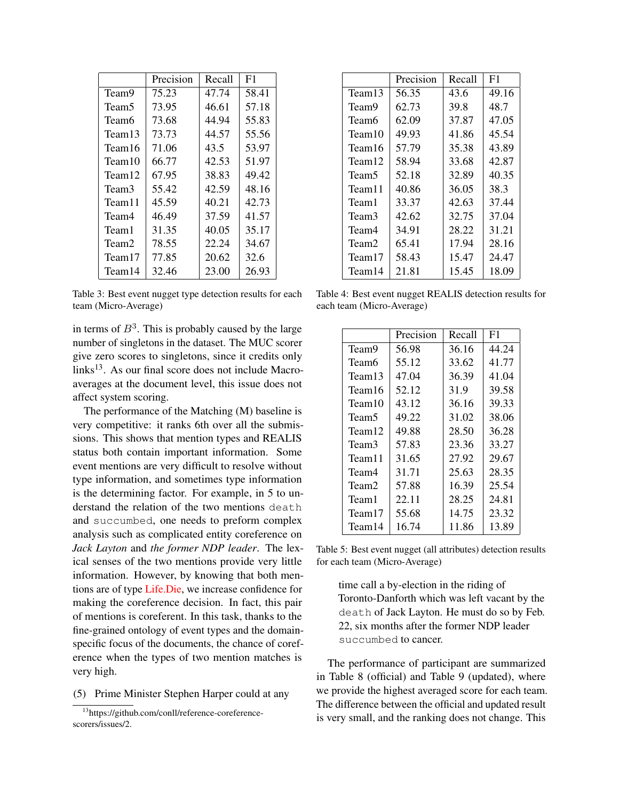|        | Precision | Recall | F1    |
|--------|-----------|--------|-------|
| Team9  | 75.23     | 47.74  | 58.41 |
| Team5  | 73.95     | 46.61  | 57.18 |
| Team6  | 73.68     | 44.94  | 55.83 |
| Team13 | 73.73     | 44.57  | 55.56 |
| Team16 | 71.06     | 43.5   | 53.97 |
| Team10 | 66.77     | 42.53  | 51.97 |
| Team12 | 67.95     | 38.83  | 49.42 |
| Team3  | 55.42     | 42.59  | 48.16 |
| Team11 | 45.59     | 40.21  | 42.73 |
| Team4  | 46.49     | 37.59  | 41.57 |
| Team 1 | 31.35     | 40.05  | 35.17 |
| Team2  | 78.55     | 22.24  | 34.67 |
| Team17 | 77.85     | 20.62  | 32.6  |
| Team14 | 32.46     | 23.00  | 26.93 |

Table 3: Best event nugget type detection results for each team (Micro-Average)

in terms of  $B^3$ . This is probably caused by the large number of singletons in the dataset. The MUC scorer give zero scores to singletons, since it credits only links<sup>13</sup>. As our final score does not include Macroaverages at the document level, this issue does not affect system scoring.

The performance of the Matching (M) baseline is very competitive: it ranks 6th over all the submissions. This shows that mention types and REALIS status both contain important information. Some event mentions are very difficult to resolve without type information, and sometimes type information is the determining factor. For example, in 5 to understand the relation of the two mentions death and succumbed, one needs to preform complex analysis such as complicated entity coreference on *Jack Layton* and *the former NDP leader*. The lexical senses of the two mentions provide very little information. However, by knowing that both mentions are of type Life.Die, we increase confidence for making the coreference decision. In fact, this pair of mentions is coreferent. In this task, thanks to the fine-grained ontology of event types and the domainspecific focus of the documents, the chance of coreference when the types of two mention matches is very high.

(5) Prime Minister Stephen Harper could at any

|        | Precision | Recall | F1    |
|--------|-----------|--------|-------|
| Team13 | 56.35     | 43.6   | 49.16 |
| Team9  | 62.73     | 39.8   | 48.7  |
| Team6  | 62.09     | 37.87  | 47.05 |
| Team10 | 49.93     | 41.86  | 45.54 |
| Team16 | 57.79     | 35.38  | 43.89 |
| Team12 | 58.94     | 33.68  | 42.87 |
| Team5  | 52.18     | 32.89  | 40.35 |
| Team11 | 40.86     | 36.05  | 38.3  |
| Team1  | 33.37     | 42.63  | 37.44 |
| Team3  | 42.62     | 32.75  | 37.04 |
| Team4  | 34.91     | 28.22  | 31.21 |
| Team2  | 65.41     | 17.94  | 28.16 |
| Team17 | 58.43     | 15.47  | 24.47 |
| Team14 | 21.81     | 15.45  | 18.09 |

Table 4: Best event nugget REALIS detection results for each team (Micro-Average)

|        | Precision | Recall | F1    |
|--------|-----------|--------|-------|
| Team9  | 56.98     | 36.16  | 44.24 |
| Team6  | 55.12     | 33.62  | 41.77 |
| Team13 | 47.04     | 36.39  | 41.04 |
| Team16 | 52.12     | 31.9   | 39.58 |
| Team10 | 43.12     | 36.16  | 39.33 |
| Team5  | 49.22     | 31.02  | 38.06 |
| Team12 | 49.88     | 28.50  | 36.28 |
| Team3  | 57.83     | 23.36  | 33.27 |
| Team11 | 31.65     | 27.92  | 29.67 |
| Team4  | 31.71     | 25.63  | 28.35 |
| Team2  | 57.88     | 16.39  | 25.54 |
| Team1  | 22.11     | 28.25  | 24.81 |
| Team17 | 55.68     | 14.75  | 23.32 |
| Team14 | 16.74     | 11.86  | 13.89 |

Table 5: Best event nugget (all attributes) detection results for each team (Micro-Average)

time call a by-election in the riding of Toronto-Danforth which was left vacant by the death of Jack Layton. He must do so by Feb. 22, six months after the former NDP leader succumbed to cancer.

The performance of participant are summarized in Table 8 (official) and Table 9 (updated), where we provide the highest averaged score for each team. The difference between the official and updated result is very small, and the ranking does not change. This

<sup>13</sup>https://github.com/conll/reference-coreferencescorers/issues/2.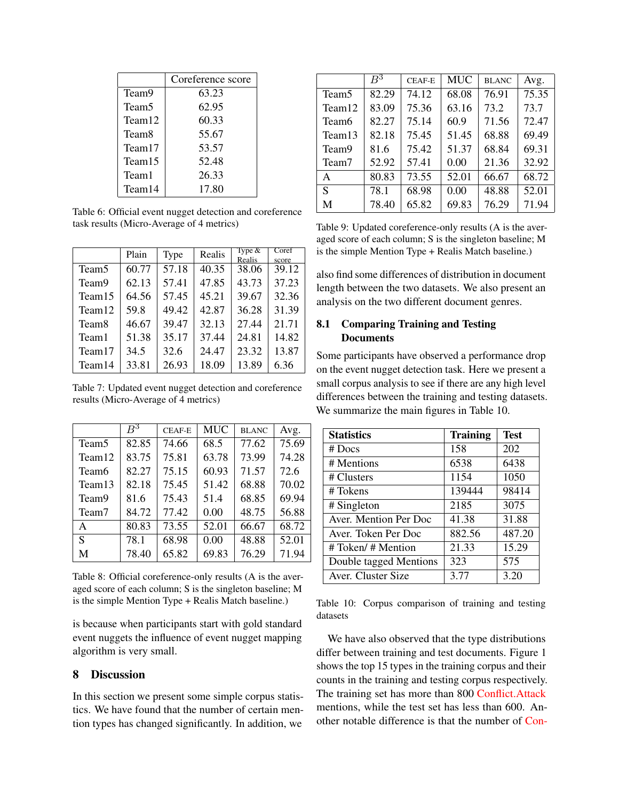|        | Coreference score |
|--------|-------------------|
| Team9  | 63.23             |
| Team5  | 62.95             |
| Team12 | 60.33             |
| Team8  | 55.67             |
| Team17 | 53.57             |
| Team15 | 52.48             |
| Team1  | 26.33             |
| Team14 | 17.80             |

Table 6: Official event nugget detection and coreference task results (Micro-Average of 4 metrics)

|                   | Plain | Type  | Realis | Type $&$<br>Realis | Coref<br>score |
|-------------------|-------|-------|--------|--------------------|----------------|
| Team <sub>5</sub> | 60.77 | 57.18 | 40.35  | 38.06              | 39.12          |
| Team9             | 62.13 | 57.41 | 47.85  | 43.73              | 37.23          |
| Team15            | 64.56 | 57.45 | 45.21  | 39.67              | 32.36          |
| Team12            | 59.8  | 49.42 | 42.87  | 36.28              | 31.39          |
| Team <sub>8</sub> | 46.67 | 39.47 | 32.13  | 27.44              | 21.71          |
| Team1             | 51.38 | 35.17 | 37.44  | 24.81              | 14.82          |
| Team17            | 34.5  | 32.6  | 24.47  | 23.32              | 13.87          |
| Team14            | 33.81 | 26.93 | 18.09  | 13.89              | 6.36           |

Table 7: Updated event nugget detection and coreference results (Micro-Average of 4 metrics)

|                   | $\,B^3$ | <b>CEAF-E</b> | <b>MUC</b> | <b>BLANC</b> | Avg.  |
|-------------------|---------|---------------|------------|--------------|-------|
| Team <sub>5</sub> | 82.85   | 74.66         | 68.5       | 77.62        | 75.69 |
| Team12            | 83.75   | 75.81         | 63.78      | 73.99        | 74.28 |
| Team <sub>6</sub> | 82.27   | 75.15         | 60.93      | 71.57        | 72.6  |
| Team13            | 82.18   | 75.45         | 51.42      | 68.88        | 70.02 |
| Team9             | 81.6    | 75.43         | 51.4       | 68.85        | 69.94 |
| Team7             | 84.72   | 77.42         | 0.00       | 48.75        | 56.88 |
| A                 | 80.83   | 73.55         | 52.01      | 66.67        | 68.72 |
| S                 | 78.1    | 68.98         | 0.00       | 48.88        | 52.01 |
| M                 | 78.40   | 65.82         | 69.83      | 76.29        | 71.94 |

Table 8: Official coreference-only results (A is the averaged score of each column; S is the singleton baseline; M is the simple Mention Type + Realis Match baseline.)

is because when participants start with gold standard event nuggets the influence of event nugget mapping algorithm is very small.

## 8 Discussion

In this section we present some simple corpus statistics. We have found that the number of certain mention types has changed significantly. In addition, we

|                    | $\overline{B}{}^3$ | <b>CEAF-E</b> | <b>MUC</b> | <b>BLANC</b> | Avg.  |
|--------------------|--------------------|---------------|------------|--------------|-------|
| Team <sub>5</sub>  | 82.29              | 74.12         | 68.08      | 76.91        | 75.35 |
| Team <sub>12</sub> | 83.09              | 75.36         | 63.16      | 73.2         | 73.7  |
| Team <sub>6</sub>  | 82.27              | 75.14         | 60.9       | 71.56        | 72.47 |
| Team13             | 82.18              | 75.45         | 51.45      | 68.88        | 69.49 |
| Team9              | 81.6               | 75.42         | 51.37      | 68.84        | 69.31 |
| Team7              | 52.92              | 57.41         | 0.00       | 21.36        | 32.92 |
| $\mathsf{A}$       | 80.83              | 73.55         | 52.01      | 66.67        | 68.72 |
| S                  | 78.1               | 68.98         | 0.00       | 48.88        | 52.01 |
| M                  | 78.40              | 65.82         | 69.83      | 76.29        | 71.94 |

Table 9: Updated coreference-only results (A is the averaged score of each column; S is the singleton baseline; M is the simple Mention Type + Realis Match baseline.)

also find some differences of distribution in document length between the two datasets. We also present an analysis on the two different document genres.

## 8.1 Comparing Training and Testing **Documents**

Some participants have observed a performance drop on the event nugget detection task. Here we present a small corpus analysis to see if there are any high level differences between the training and testing datasets. We summarize the main figures in Table 10.

| <b>Statistics</b>      | <b>Training</b> | <b>Test</b> |
|------------------------|-----------------|-------------|
| $#$ Docs               | 158             | 202         |
| # Mentions             | 6538            | 6438        |
| # Clusters             | 1154            | 1050        |
| # Tokens               | 139444          | 98414       |
| # Singleton            | 2185            | 3075        |
| Aver. Mention Per Doc  | 41.38           | 31.88       |
| Aver. Token Per Doc    | 882.56          | 487.20      |
| # Token/ # Mention     | 21.33           | 15.29       |
| Double tagged Mentions | 323             | 575         |
| Aver. Cluster Size     | 3.77            | 3.20        |

Table 10: Corpus comparison of training and testing datasets

We have also observed that the type distributions differ between training and test documents. Figure 1 shows the top 15 types in the training corpus and their counts in the training and testing corpus respectively. The training set has more than 800 Conflict.Attack mentions, while the test set has less than 600. Another notable difference is that the number of Con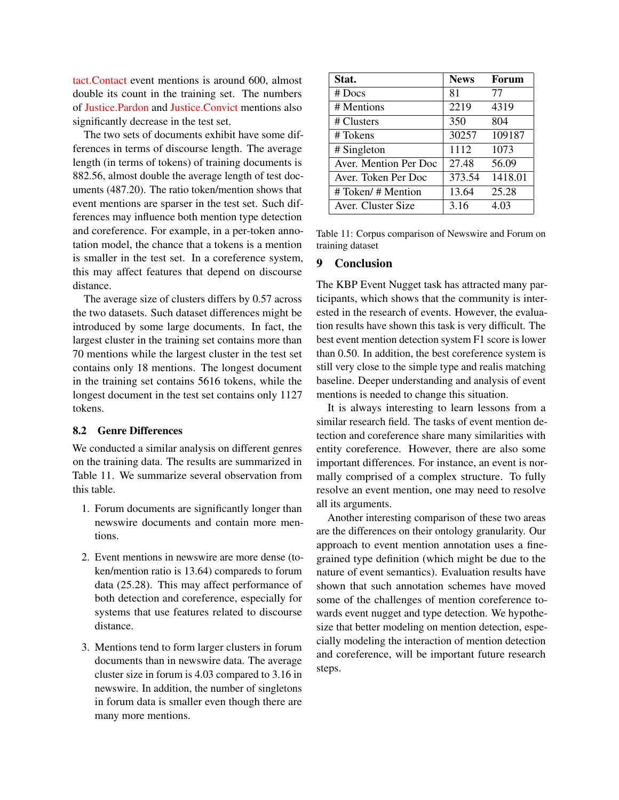tact.Contact event mentions is around 600, almost double its count in the training set. The numbers of Justice.Pardon and Justice.Convict mentions also significantly decrease in the test set.

The two sets of documents exhibit have some differences in terms of discourse length. The average length (in terms of tokens) of training documents is 882.56, almost double the average length of test documents (487.20). The ratio token/mention shows that event mentions are sparser in the test set. Such differences may influence both mention type detection and coreference. For example, in a per-token annotation model, the chance that a tokens is a mention is smaller in the test set. In a coreference system, this may affect features that depend on discourse distance.

The average size of clusters differs by 0.57 across the two datasets. Such dataset differences might be introduced by some large documents. In fact, the largest cluster in the training set contains more than 70 mentions while the largest cluster in the test set contains only 18 mentions. The longest document in the training set contains 5616 tokens, while the longest document in the test set contains only 1127 tokens.

### 8.2 Genre Differences

We conducted a similar analysis on different genres on the training data. The results are summarized in Table 11. We summarize several observation from this table.

- 1. Forum documents are significantly longer than newswire documents and contain more mentions.
- 2. Event mentions in newswire are more dense (token/mention ratio is 13.64) compareds to forum data (25.28). This may affect performance of both detection and coreference, especially for systems that use features related to discourse distance.
- 3. Mentions tend to form larger clusters in forum documents than in newswire data. The average cluster size in forum is 4.03 compared to 3.16 in newswire. In addition, the number of singletons in forum data is smaller even though there are many more mentions.

| Stat.                 | <b>News</b> | Forum   |
|-----------------------|-------------|---------|
| $#$ Docs              | 81          | 77      |
| # Mentions            | 2219        | 4319    |
| # Clusters            | 350         | 804     |
| # Tokens              | 30257       | 109187  |
| # Singleton           | 1112        | 1073    |
| Aver. Mention Per Doc | 27.48       | 56.09   |
| Aver. Token Per Doc   | 373.54      | 1418.01 |
| # Token/ # Mention    | 13.64       | 25.28   |
| Aver. Cluster Size    | 3.16        | 4.03    |

Table 11: Corpus comparison of Newswire and Forum on training dataset

### 9 Conclusion

The KBP Event Nugget task has attracted many participants, which shows that the community is interested in the research of events. However, the evaluation results have shown this task is very difficult. The best event mention detection system F1 score is lower than 0.50. In addition, the best coreference system is still very close to the simple type and realis matching baseline. Deeper understanding and analysis of event mentions is needed to change this situation.

It is always interesting to learn lessons from a similar research field. The tasks of event mention detection and coreference share many similarities with entity coreference. However, there are also some important differences. For instance, an event is normally comprised of a complex structure. To fully resolve an event mention, one may need to resolve all its arguments.

Another interesting comparison of these two areas are the differences on their ontology granularity. Our approach to event mention annotation uses a finegrained type definition (which might be due to the nature of event semantics). Evaluation results have shown that such annotation schemes have moved some of the challenges of mention coreference towards event nugget and type detection. We hypothesize that better modeling on mention detection, especially modeling the interaction of mention detection and coreference, will be important future research steps.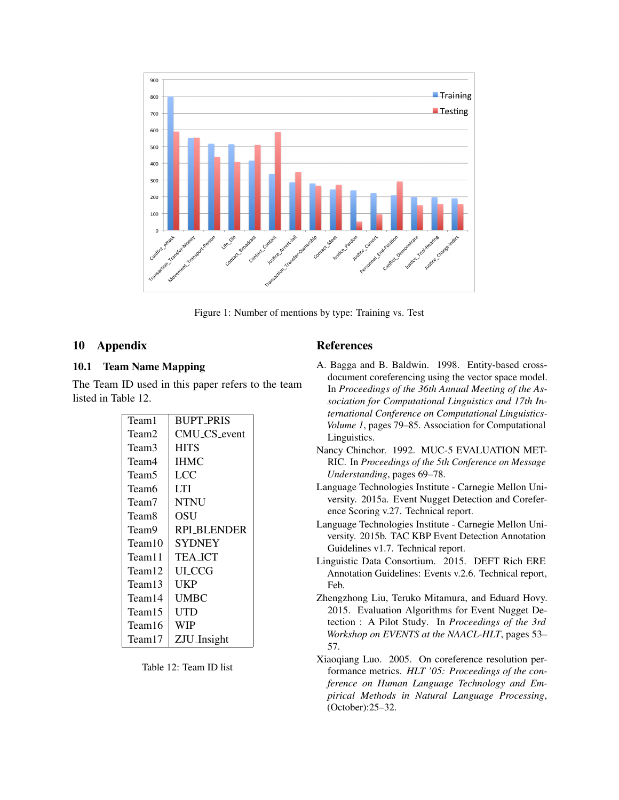

Figure 1: Number of mentions by type: Training vs. Test

## 10 Appendix

## 10.1 Team Name Mapping

The Team ID used in this paper refers to the team listed in Table 12.

| Team1              | <b>BUPT_PRIS</b>   |
|--------------------|--------------------|
| Team2              | CMU_CS_event       |
| Team3              | <b>HITS</b>        |
| Team4              | <b>IHMC</b>        |
| Team5              | LCC                |
| Team6              | I TI               |
| Team7              | <b>NTNU</b>        |
| Team8              | OSU                |
| Team9              | <b>RPI BLENDER</b> |
| Team10             | SYDNEY             |
| Team <sub>11</sub> | TEA ICT            |
| Team12             | UI CCG             |
| Team13             | UKP                |
| Team14             | <b>UMBC</b>        |
| Team15             | UTD                |
| Team16             | WIP                |
| Team17             | ZJU_Insight        |

Table 12: Team ID list

### References

- A. Bagga and B. Baldwin. 1998. Entity-based crossdocument coreferencing using the vector space model. In *Proceedings of the 36th Annual Meeting of the Association for Computational Linguistics and 17th International Conference on Computational Linguistics-Volume 1*, pages 79–85. Association for Computational Linguistics.
- Nancy Chinchor. 1992. MUC-5 EVALUATION MET-RIC. In *Proceedings of the 5th Conference on Message Understanding*, pages 69–78.
- Language Technologies Institute Carnegie Mellon University. 2015a. Event Nugget Detection and Coreference Scoring v.27. Technical report.
- Language Technologies Institute Carnegie Mellon University. 2015b. TAC KBP Event Detection Annotation Guidelines v1.7. Technical report.
- Linguistic Data Consortium. 2015. DEFT Rich ERE Annotation Guidelines: Events v.2.6. Technical report, Feb.
- Zhengzhong Liu, Teruko Mitamura, and Eduard Hovy. 2015. Evaluation Algorithms for Event Nugget Detection : A Pilot Study. In *Proceedings of the 3rd Workshop on EVENTS at the NAACL-HLT*, pages 53– 57.
- Xiaoqiang Luo. 2005. On coreference resolution performance metrics. *HLT '05: Proceedings of the conference on Human Language Technology and Empirical Methods in Natural Language Processing*, (October):25–32.